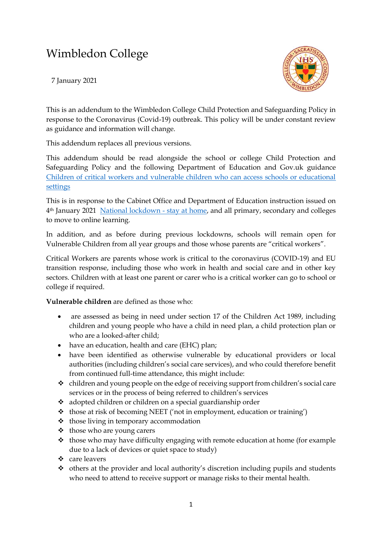# Wimbledon College

7 January 2021



This is an addendum to the Wimbledon College Child Protection and Safeguarding Policy in response to the Coronavirus (Covid-19) outbreak. This policy will be under constant review as guidance and information will change.

This addendum replaces all previous versions.

This addendum should be read alongside the school or college Child Protection and Safeguarding Policy and the following Department of Education and Gov.uk guidance [Children of critical workers and vulnerable children who can access schools or educational](https://www.gov.uk/government/publications/coronavirus-covid-19-maintaining-educational-provision/guidance-for-schools-colleges-and-local-authorities-on-maintaining-educational-provision)  [settings](https://www.gov.uk/government/publications/coronavirus-covid-19-maintaining-educational-provision/guidance-for-schools-colleges-and-local-authorities-on-maintaining-educational-provision)

This is in response to the Cabinet Office and Department of Education instruction issued on 4th January 2021 [National lockdown -](https://www.gov.uk/guidance/national-lockdown-stay-at-home) stay at home, and all primary, secondary and colleges to move to online learning.

In addition, and as before during previous lockdowns, schools will remain open for Vulnerable Children from all year groups and those whose parents are "critical workers".

Critical Workers are parents whose work is critical to the coronavirus (COVID-19) and EU transition response, including those who work in health and social care and in other key sectors. Children with at least one parent or carer who is a critical worker can go to school or college if required.

**Vulnerable children** are defined as those who:

- are assessed as being in need under section 17 of the Children Act 1989, including children and young people who have a child in need plan, a child protection plan or who are a looked-after child;
- have an education, health and care (EHC) plan;
- have been identified as otherwise vulnerable by educational providers or local authorities (including children's social care services), and who could therefore benefit from continued full-time attendance, this might include:
- ❖ children and young people on the edge of receiving support from children's social care services or in the process of being referred to children's services
- ❖ adopted children or children on a special guardianship order
- ❖ those at risk of becoming NEET ('not in employment, education or training')
- ❖ those living in temporary accommodation
- ❖ those who are young carers
- ❖ those who may have difficulty engaging with remote education at home (for example due to a lack of devices or quiet space to study)
- ❖ care leavers
- ❖ others at the provider and local authority's discretion including pupils and students who need to attend to receive support or manage risks to their mental health.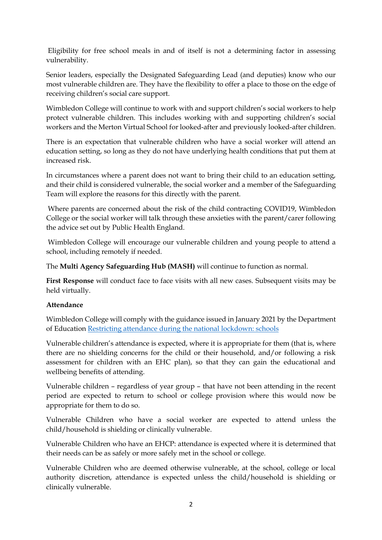Eligibility for free school meals in and of itself is not a determining factor in assessing vulnerability.

Senior leaders, especially the Designated Safeguarding Lead (and deputies) know who our most vulnerable children are. They have the flexibility to offer a place to those on the edge of receiving children's social care support.

Wimbledon College will continue to work with and support children's social workers to help protect vulnerable children. This includes working with and supporting children's social workers and the Merton Virtual School for looked-after and previously looked-after children.

There is an expectation that vulnerable children who have a social worker will attend an education setting, so long as they do not have underlying health conditions that put them at increased risk.

In circumstances where a parent does not want to bring their child to an education setting, and their child is considered vulnerable, the social worker and a member of the Safeguarding Team will explore the reasons for this directly with the parent.

Where parents are concerned about the risk of the child contracting COVID19, Wimbledon College or the social worker will talk through these anxieties with the parent/carer following the advice set out by Public Health England.

Wimbledon College will encourage our vulnerable children and young people to attend a school, including remotely if needed.

The **Multi Agency Safeguarding Hub (MASH)** will continue to function as normal.

**First Response** will conduct face to face visits with all new cases. Subsequent visits may be held virtually.

## **Attendance**

Wimbledon College will comply with the guidance issued in January 2021 by the Department of Education [Restricting attendance during the national lockdown: schools](https://assets.publishing.service.gov.uk/government/uploads/system/uploads/attachment_data/file/950510/School_national_restrictions_guidance.pdf)

Vulnerable children's attendance is expected, where it is appropriate for them (that is, where there are no shielding concerns for the child or their household, and/or following a risk assessment for children with an EHC plan), so that they can gain the educational and wellbeing benefits of attending.

Vulnerable children – regardless of year group – that have not been attending in the recent period are expected to return to school or college provision where this would now be appropriate for them to do so.

Vulnerable Children who have a social worker are expected to attend unless the child/household is shielding or clinically vulnerable.

Vulnerable Children who have an EHCP: attendance is expected where it is determined that their needs can be as safely or more safely met in the school or college.

Vulnerable Children who are deemed otherwise vulnerable, at the school, college or local authority discretion, attendance is expected unless the child/household is shielding or clinically vulnerable.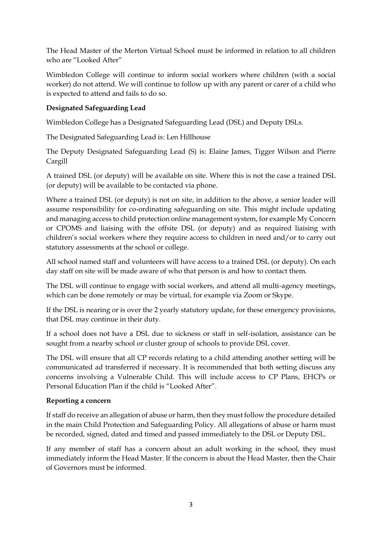The Head Master of the Merton Virtual School must be informed in relation to all children who are "Looked After"

Wimbledon College will continue to inform social workers where children (with a social worker) do not attend. We will continue to follow up with any parent or carer of a child who is expected to attend and fails to do so.

## **Designated Safeguarding Lead**

Wimbledon College has a Designated Safeguarding Lead (DSL) and Deputy DSLs.

The Designated Safeguarding Lead is: Len Hillhouse

The Deputy Designated Safeguarding Lead (S) is: Elaine James, Tigger Wilson and Pierre Cargill

A trained DSL (or deputy) will be available on site. Where this is not the case a trained DSL (or deputy) will be available to be contacted via phone.

Where a trained DSL (or deputy) is not on site, in addition to the above, a senior leader will assume responsibility for co-ordinating safeguarding on site. This might include updating and managing access to child protection online management system, for example My Concern or CPOMS and liaising with the offsite DSL (or deputy) and as required liaising with children's social workers where they require access to children in need and/or to carry out statutory assessments at the school or college.

All school named staff and volunteers will have access to a trained DSL (or deputy). On each day staff on site will be made aware of who that person is and how to contact them.

The DSL will continue to engage with social workers, and attend all multi-agency meetings, which can be done remotely or may be virtual, for example via Zoom or Skype.

If the DSL is nearing or is over the 2 yearly statutory update, for these emergency provisions, that DSL may continue in their duty.

If a school does not have a DSL due to sickness or staff in self-isolation, assistance can be sought from a nearby school or cluster group of schools to provide DSL cover.

The DSL will ensure that all CP records relating to a child attending another setting will be communicated ad transferred if necessary. It is recommended that both setting discuss any concerns involving a Vulnerable Child. This will include access to CP Plans, EHCPs or Personal Education Plan if the child is "Looked After".

## **Reporting a concern**

If staff do receive an allegation of abuse or harm, then they must follow the procedure detailed in the main Child Protection and Safeguarding Policy. All allegations of abuse or harm must be recorded, signed, dated and timed and passed immediately to the DSL or Deputy DSL.

If any member of staff has a concern about an adult working in the school, they must immediately inform the Head Master. If the concern is about the Head Master, then the Chair of Governors must be informed.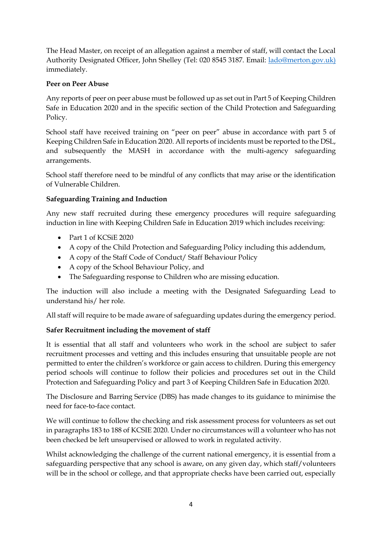The Head Master, on receipt of an allegation against a member of staff, will contact the Local Authority Designated Officer, John Shelley (Tel: 020 8545 3187. Email: [lado@merton.gov.uk\)](mailto:lado@merton.gov.uk) immediately.

## **Peer on Peer Abuse**

Any reports of peer on peer abuse must be followed up as set out in Part 5 of Keeping Children Safe in Education 2020 and in the specific section of the Child Protection and Safeguarding Policy.

School staff have received training on "peer on peer" abuse in accordance with part 5 of Keeping Children Safe in Education 2020. All reports of incidents must be reported to the DSL, and subsequently the MASH in accordance with the multi-agency safeguarding arrangements.

School staff therefore need to be mindful of any conflicts that may arise or the identification of Vulnerable Children.

## **Safeguarding Training and Induction**

Any new staff recruited during these emergency procedures will require safeguarding induction in line with Keeping Children Safe in Education 2019 which includes receiving:

- Part 1 of KCSiE 2020
- A copy of the Child Protection and Safeguarding Policy including this addendum,
- A copy of the Staff Code of Conduct/ Staff Behaviour Policy
- A copy of the School Behaviour Policy, and
- The Safeguarding response to Children who are missing education.

The induction will also include a meeting with the Designated Safeguarding Lead to understand his/ her role.

All staff will require to be made aware of safeguarding updates during the emergency period.

## **Safer Recruitment including the movement of staff**

It is essential that all staff and volunteers who work in the school are subject to safer recruitment processes and vetting and this includes ensuring that unsuitable people are not permitted to enter the children's workforce or gain access to children. During this emergency period schools will continue to follow their policies and procedures set out in the Child Protection and Safeguarding Policy and part 3 of Keeping Children Safe in Education 2020.

The Disclosure and Barring Service (DBS) has made changes to its guidance to minimise the need for face-to-face contact.

We will continue to follow the checking and risk assessment process for volunteers as set out in paragraphs 183 to 188 of KCSIE 2020. Under no circumstances will a volunteer who has not been checked be left unsupervised or allowed to work in regulated activity.

Whilst acknowledging the challenge of the current national emergency, it is essential from a safeguarding perspective that any school is aware, on any given day, which staff/volunteers will be in the school or college, and that appropriate checks have been carried out, especially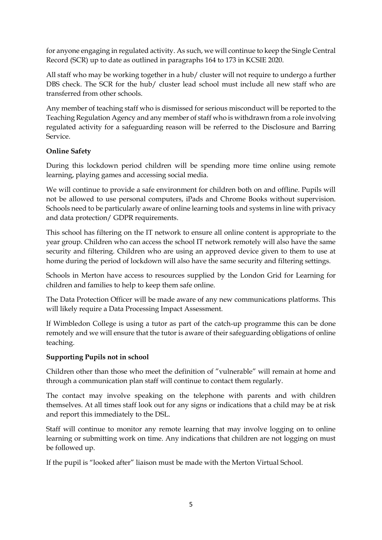for anyone engaging in regulated activity. As such, we will continue to keep the Single Central Record (SCR) up to date as outlined in paragraphs 164 to 173 in KCSIE 2020.

All staff who may be working together in a hub/ cluster will not require to undergo a further DBS check. The SCR for the hub/ cluster lead school must include all new staff who are transferred from other schools.

Any member of teaching staff who is dismissed for serious misconduct will be reported to the Teaching Regulation Agency and any member of staff who is withdrawn from a role involving regulated activity for a safeguarding reason will be referred to the Disclosure and Barring Service.

## **Online Safety**

During this lockdown period children will be spending more time online using remote learning, playing games and accessing social media.

We will continue to provide a safe environment for children both on and offline. Pupils will not be allowed to use personal computers, iPads and Chrome Books without supervision. Schools need to be particularly aware of online learning tools and systems in line with privacy and data protection/ GDPR requirements.

This school has filtering on the IT network to ensure all online content is appropriate to the year group. Children who can access the school IT network remotely will also have the same security and filtering. Children who are using an approved device given to them to use at home during the period of lockdown will also have the same security and filtering settings.

Schools in Merton have access to resources supplied by the London Grid for Learning for children and families to help to keep them safe online.

The Data Protection Officer will be made aware of any new communications platforms. This will likely require a Data Processing Impact Assessment.

If Wimbledon College is using a tutor as part of the catch-up programme this can be done remotely and we will ensure that the tutor is aware of their safeguarding obligations of online teaching.

## **Supporting Pupils not in school**

Children other than those who meet the definition of "vulnerable" will remain at home and through a communication plan staff will continue to contact them regularly.

The contact may involve speaking on the telephone with parents and with children themselves. At all times staff look out for any signs or indications that a child may be at risk and report this immediately to the DSL.

Staff will continue to monitor any remote learning that may involve logging on to online learning or submitting work on time. Any indications that children are not logging on must be followed up.

If the pupil is "looked after" liaison must be made with the Merton Virtual School.